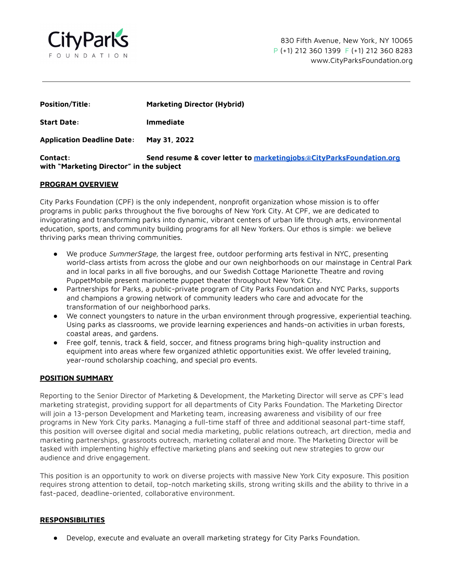

| <b>Position/Title:</b>                                      | <b>Marketing Director (Hybrid)</b>                                  |
|-------------------------------------------------------------|---------------------------------------------------------------------|
| <b>Start Date:</b>                                          | <b>Immediate</b>                                                    |
| <b>Application Deadline Date:</b>                           | May 31, 2022                                                        |
| <b>Contact:</b><br>with "Marketing Director" in the subject | Send resume & cover letter to marketingjobs@CityParksFoundation.org |

## **PROGRAM OVERVIEW**

City Parks Foundation (CPF) is the only independent, nonprofit organization whose mission is to offer programs in public parks throughout the five boroughs of New York City. At CPF, we are dedicated to invigorating and transforming parks into dynamic, vibrant centers of urban life through arts, environmental education, sports, and community building programs for all New Yorkers. Our ethos is simple: we believe thriving parks mean thriving communities.

- We produce SummerStage, the largest free, outdoor performing arts festival in NYC, presenting world-class artists from across the globe and our own neighborhoods on our mainstage in Central Park and in local parks in all five boroughs, and our Swedish Cottage Marionette Theatre and roving PuppetMobile present marionette puppet theater throughout New York City.
- Partnerships for Parks, a public-private program of City Parks Foundation and NYC Parks, supports and champions a growing network of community leaders who care and advocate for the transformation of our neighborhood parks.
- We connect youngsters to nature in the urban environment through progressive, experiential teaching. Using parks as classrooms, we provide learning experiences and hands-on activities in urban forests, coastal areas, and gardens.
- Free golf, tennis, track & field, soccer, and fitness programs bring high-quality instruction and equipment into areas where few organized athletic opportunities exist. We offer leveled training, year-round scholarship coaching, and special pro events.

## **POSITION SUMMARY**

Reporting to the Senior Director of Marketing & Development, the Marketing Director will serve as CPF's lead marketing strategist, providing support for all departments of City Parks Foundation. The Marketing Director will join a 13-person Development and Marketing team, increasing awareness and visibility of our free programs in New York City parks. Managing a full-time staff of three and additional seasonal part-time staff, this position will oversee digital and social media marketing, public relations outreach, art direction, media and marketing partnerships, grassroots outreach, marketing collateral and more. The Marketing Director will be tasked with implementing highly effective marketing plans and seeking out new strategies to grow our audience and drive engagement.

This position is an opportunity to work on diverse projects with massive New York City exposure. This position requires strong attention to detail, top-notch marketing skills, strong writing skills and the ability to thrive in a fast-paced, deadline-oriented, collaborative environment.

#### **RESPONSIBILITIES**

● Develop, execute and evaluate an overall marketing strategy for City Parks Foundation.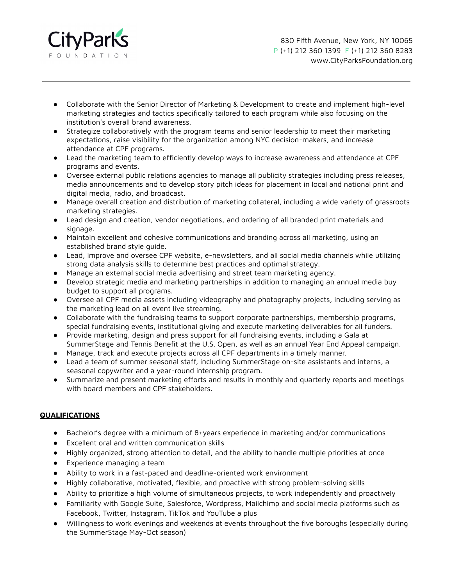

830 Fifth Avenue, New York, NY 10065 P (+1) 212 360 1399 F (+1) 212 360 8283 www.CityParksFoundation.org

- Collaborate with the Senior Director of Marketing & Development to create and implement high-level marketing strategies and tactics specifically tailored to each program while also focusing on the institution's overall brand awareness.
- Strategize collaboratively with the program teams and senior leadership to meet their marketing expectations, raise visibility for the organization among NYC decision-makers, and increase attendance at CPF programs.
- Lead the marketing team to efficiently develop ways to increase awareness and attendance at CPF programs and events.
- Oversee external public relations agencies to manage all publicity strategies including press releases, media announcements and to develop story pitch ideas for placement in local and national print and digital media, radio, and broadcast.
- Manage overall creation and distribution of marketing collateral, including a wide variety of grassroots marketing strategies.
- Lead design and creation, vendor negotiations, and ordering of all branded print materials and signage.
- Maintain excellent and cohesive communications and branding across all marketing, using an established brand style guide.
- Lead, improve and oversee CPF website, e-newsletters, and all social media channels while utilizing strong data analysis skills to determine best practices and optimal strategy.
- Manage an external social media advertising and street team marketing agency.
- Develop strategic media and marketing partnerships in addition to managing an annual media buy budget to support all programs.
- Oversee all CPF media assets including videography and photography projects, including serving as the marketing lead on all event live streaming.
- Collaborate with the fundraising teams to support corporate partnerships, membership programs, special fundraising events, institutional giving and execute marketing deliverables for all funders.
- Provide marketing, design and press support for all fundraising events, including a Gala at SummerStage and Tennis Benefit at the U.S. Open, as well as an annual Year End Appeal campaign.
- Manage, track and execute projects across all CPF departments in a timely manner.
- Lead a team of summer seasonal staff, including SummerStage on-site assistants and interns, a seasonal copywriter and a year-round internship program.
- Summarize and present marketing efforts and results in monthly and quarterly reports and meetings with board members and CPF stakeholders.

# **QUALIFICATIONS**

- Bachelor's degree with a minimum of 8+years experience in marketing and/or communications
- Excellent oral and written communication skills
- Highly organized, strong attention to detail, and the ability to handle multiple priorities at once
- Experience managing a team
- Ability to work in a fast-paced and deadline-oriented work environment
- Highly collaborative, motivated, flexible, and proactive with strong problem-solving skills
- Ability to prioritize a high volume of simultaneous projects, to work independently and proactively
- Familiarity with Google Suite, Salesforce, Wordpress, Mailchimp and social media platforms such as Facebook, Twitter, Instagram, TikTok and YouTube a plus
- Willingness to work evenings and weekends at events throughout the five boroughs (especially during the SummerStage May-Oct season)